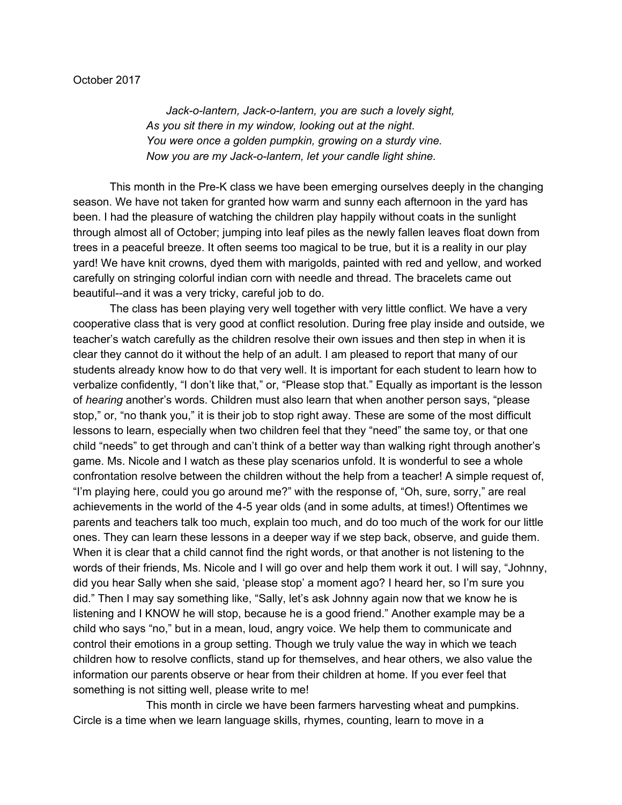*Jack-o-lantern, Jack-o-lantern, you are such a lovely sight, As you sit there in my window, looking out at the night. You were once a golden pumpkin, growing on a sturdy vine. Now you are my Jack-o-lantern, let your candle light shine.*

This month in the Pre-K class we have been emerging ourselves deeply in the changing season. We have not taken for granted how warm and sunny each afternoon in the yard has been. I had the pleasure of watching the children play happily without coats in the sunlight through almost all of October; jumping into leaf piles as the newly fallen leaves float down from trees in a peaceful breeze. It often seems too magical to be true, but it is a reality in our play yard! We have knit crowns, dyed them with marigolds, painted with red and yellow, and worked carefully on stringing colorful indian corn with needle and thread. The bracelets came out beautiful--and it was a very tricky, careful job to do.

The class has been playing very well together with very little conflict. We have a very cooperative class that is very good at conflict resolution. During free play inside and outside, we teacher's watch carefully as the children resolve their own issues and then step in when it is clear they cannot do it without the help of an adult. I am pleased to report that many of our students already know how to do that very well. It is important for each student to learn how to verbalize confidently, "I don't like that," or, "Please stop that." Equally as important is the lesson of *hearing* another's words. Children must also learn that when another person says, "please stop," or, "no thank you," it is their job to stop right away. These are some of the most difficult lessons to learn, especially when two children feel that they "need" the same toy, or that one child "needs" to get through and can't think of a better way than walking right through another's game. Ms. Nicole and I watch as these play scenarios unfold. It is wonderful to see a whole confrontation resolve between the children without the help from a teacher! A simple request of, "I'm playing here, could you go around me?" with the response of, "Oh, sure, sorry," are real achievements in the world of the 4-5 year olds (and in some adults, at times!) Oftentimes we parents and teachers talk too much, explain too much, and do too much of the work for our little ones. They can learn these lessons in a deeper way if we step back, observe, and guide them. When it is clear that a child cannot find the right words, or that another is not listening to the words of their friends, Ms. Nicole and I will go over and help them work it out. I will say, "Johnny, did you hear Sally when she said, 'please stop' a moment ago? I heard her, so I'm sure you did." Then I may say something like, "Sally, let's ask Johnny again now that we know he is listening and I KNOW he will stop, because he is a good friend." Another example may be a child who says "no," but in a mean, loud, angry voice. We help them to communicate and control their emotions in a group setting. Though we truly value the way in which we teach children how to resolve conflicts, stand up for themselves, and hear others, we also value the information our parents observe or hear from their children at home. If you ever feel that something is not sitting well, please write to me!

This month in circle we have been farmers harvesting wheat and pumpkins. Circle is a time when we learn language skills, rhymes, counting, learn to move in a